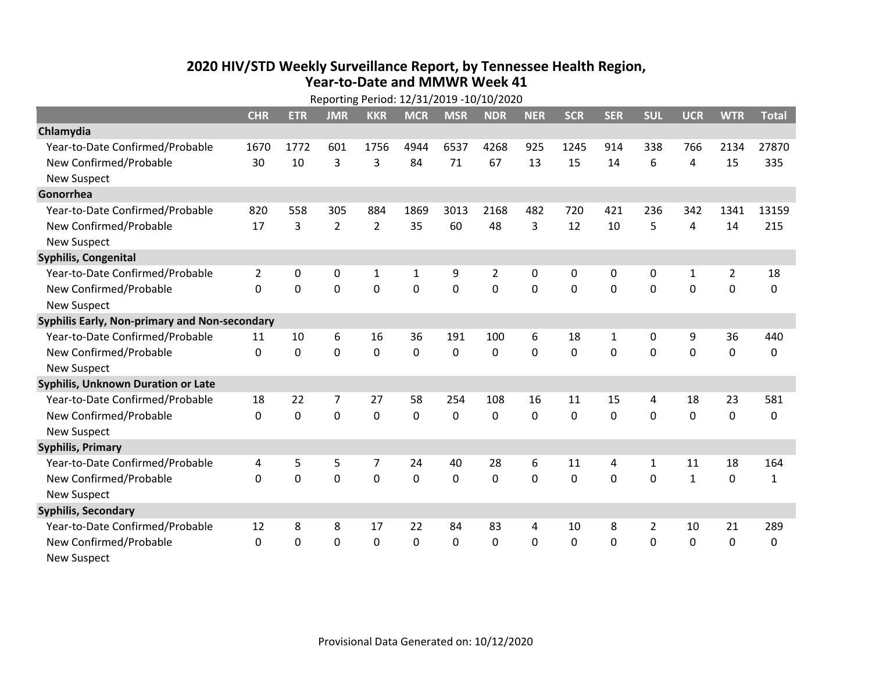## **2020 HIV /STD Weekly Surveillance Report, by Tennessee Health Region, Year‐to‐Date and MMWR Week 41**  $R = R + 1.32/21/2010$  12/10/2020

|                                               | Reporting Period: 12/31/2019 -10/10/2020 |             |                |                |             |                |                |            |              |              |              |              |                |              |
|-----------------------------------------------|------------------------------------------|-------------|----------------|----------------|-------------|----------------|----------------|------------|--------------|--------------|--------------|--------------|----------------|--------------|
|                                               | <b>CHR</b>                               | <b>ETR</b>  | <b>JMR</b>     | <b>KKR</b>     | <b>MCR</b>  | <b>MSR</b>     | <b>NDR</b>     | <b>NER</b> | <b>SCR</b>   | <b>SER</b>   | <b>SUL</b>   | <b>UCR</b>   | <b>WTR</b>     | <b>Total</b> |
| Chlamydia                                     |                                          |             |                |                |             |                |                |            |              |              |              |              |                |              |
| Year-to-Date Confirmed/Probable               | 1670                                     | 1772        | 601            | 1756           | 4944        | 6537           | 4268           | 925        | 1245         | 914          | 338          | 766          | 2134           | 27870        |
| New Confirmed/Probable                        | 30                                       | 10          | 3              | 3              | 84          | 71             | 67             | 13         | 15           | 14           | 6            | 4            | 15             | 335          |
| <b>New Suspect</b>                            |                                          |             |                |                |             |                |                |            |              |              |              |              |                |              |
| Gonorrhea                                     |                                          |             |                |                |             |                |                |            |              |              |              |              |                |              |
| Year-to-Date Confirmed/Probable               | 820                                      | 558         | 305            | 884            | 1869        | 3013           | 2168           | 482        | 720          | 421          | 236          | 342          | 1341           | 13159        |
| New Confirmed/Probable                        | 17                                       | 3           | $\overline{2}$ | $\overline{2}$ | 35          | 60             | 48             | 3          | 12           | 10           | 5            | 4            | 14             | 215          |
| <b>New Suspect</b>                            |                                          |             |                |                |             |                |                |            |              |              |              |              |                |              |
| <b>Syphilis, Congenital</b>                   |                                          |             |                |                |             |                |                |            |              |              |              |              |                |              |
| Year-to-Date Confirmed/Probable               | $\overline{2}$                           | 0           | 0              | $\mathbf{1}$   | 1           | 9              | $\overline{2}$ | 0          | 0            | 0            | 0            | $\mathbf{1}$ | $\overline{2}$ | 18           |
| New Confirmed/Probable                        | $\Omega$                                 | $\mathbf 0$ | $\mathbf 0$    | 0              | $\mathbf 0$ | $\overline{0}$ | 0              | $\Omega$   | $\Omega$     | 0            | 0            | 0            | $\mathbf 0$    | 0            |
| <b>New Suspect</b>                            |                                          |             |                |                |             |                |                |            |              |              |              |              |                |              |
| Syphilis Early, Non-primary and Non-secondary |                                          |             |                |                |             |                |                |            |              |              |              |              |                |              |
| Year-to-Date Confirmed/Probable               | 11                                       | 10          | 6              | 16             | 36          | 191            | 100            | 6          | 18           | $\mathbf{1}$ | 0            | 9            | 36             | 440          |
| New Confirmed/Probable                        | $\Omega$                                 | $\mathbf 0$ | $\overline{0}$ | $\overline{0}$ | $\mathbf 0$ | 0              | 0              | $\Omega$   | $\Omega$     | $\Omega$     | $\mathbf 0$  | $\mathbf 0$  | $\mathbf 0$    | 0            |
| <b>New Suspect</b>                            |                                          |             |                |                |             |                |                |            |              |              |              |              |                |              |
| <b>Syphilis, Unknown Duration or Late</b>     |                                          |             |                |                |             |                |                |            |              |              |              |              |                |              |
| Year-to-Date Confirmed/Probable               | 18                                       | 22          | 7              | 27             | 58          | 254            | 108            | 16         | 11           | 15           | 4            | 18           | 23             | 581          |
| New Confirmed/Probable                        | $\mathbf 0$                              | $\mathbf 0$ | $\overline{0}$ | 0              | $\mathbf 0$ | $\mathbf 0$    | $\Omega$       | $\Omega$   | $\Omega$     | $\Omega$     | $\Omega$     | $\mathbf 0$  | $\mathbf 0$    | 0            |
| <b>New Suspect</b>                            |                                          |             |                |                |             |                |                |            |              |              |              |              |                |              |
| <b>Syphilis, Primary</b>                      |                                          |             |                |                |             |                |                |            |              |              |              |              |                |              |
| Year-to-Date Confirmed/Probable               | 4                                        | 5           | 5              | 7              | 24          | 40             | 28             | 6          | 11           | 4            | $\mathbf{1}$ | 11           | 18             | 164          |
| New Confirmed/Probable                        | $\Omega$                                 | 0           | 0              | 0              | $\mathbf 0$ | 0              | 0              | $\Omega$   | $\Omega$     | $\Omega$     | $\Omega$     | $\mathbf{1}$ | $\mathbf 0$    | $\mathbf{1}$ |
| <b>New Suspect</b>                            |                                          |             |                |                |             |                |                |            |              |              |              |              |                |              |
| <b>Syphilis, Secondary</b>                    |                                          |             |                |                |             |                |                |            |              |              |              |              |                |              |
| Year-to-Date Confirmed/Probable               | 12                                       | 8           | 8              | 17             | 22          | 84             | 83             | 4          | 10           | 8            | 2            | 10           | 21             | 289          |
| New Confirmed/Probable                        | 0                                        | 0           | 0              | 0              | $\mathbf 0$ | 0              | 0              | $\Omega$   | $\mathbf{0}$ | 0            | 0            | 0            | $\mathbf 0$    | 0            |
| <b>New Suspect</b>                            |                                          |             |                |                |             |                |                |            |              |              |              |              |                |              |